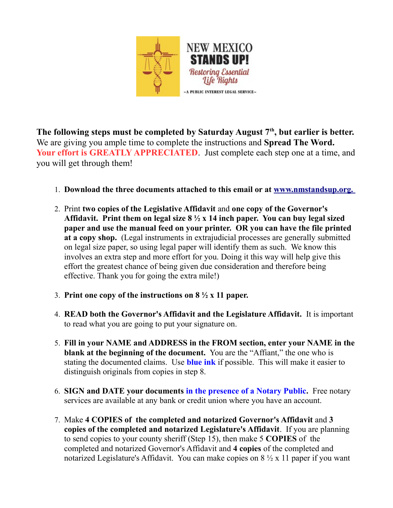

**The following steps must be completed by Saturday August 7th, but earlier is better.** We are giving you ample time to complete the instructions and **Spread The Word.** Your effort is **GREATLY APPRECIATED**. Just complete each step one at a time, and you will get through them!

- 1. **Download the three documents attached to this email or at [www.nmstandsup.org.](file:///C:/Users/jrolc/Documents/Thursday%20Group/Other%20Legal%20Remedies/affidavit%20process/NM%20documents/www.nmstandsup.org)**
- 2. Print **two copies of the Legislative Affidavit** and **one copy of the Governor's Affidavit. Print them on legal size 8 ½ x 14 inch paper. You can buy legal sized paper and use the manual feed on your printer. OR you can have the file printed at a copy shop.** (Legal instruments in extrajudicial processes are generally submitted on legal size paper, so using legal paper will identify them as such. We know this involves an extra step and more effort for you. Doing it this way will help give this effort the greatest chance of being given due consideration and therefore being effective. Thank you for going the extra mile!)
- 3. **Print one copy of the instructions on 8 ½ x 11 paper.**
- 4. **READ both the Governor's Affidavit and the Legislature Affidavit.** It is important to read what you are going to put your signature on.
- 5. **Fill in your NAME and ADDRESS in the FROM section, enter your NAME in the blank at the beginning of the document.** You are the "Affiant," the one who is stating the documented claims. Use **blue ink** if possible. This will make it easier to distinguish originals from copies in step 8.
- 6. **SIGN and DATE your documents in the presence of a Notary Public.** Free notary services are available at any bank or credit union where you have an account.
- 7. Make **4 COPIES of the completed and notarized Governor's Affidavit** and **3 copies of the completed and notarized Legislature's Affidavit**. If you are planning to send copies to your county sheriff (Step 15), then make 5 **COPIES** of the completed and notarized Governor's Affidavit and **4 copies** of the completed and notarized Legislature's Affidavit. You can make copies on  $8\frac{1}{2}$  x 11 paper if you want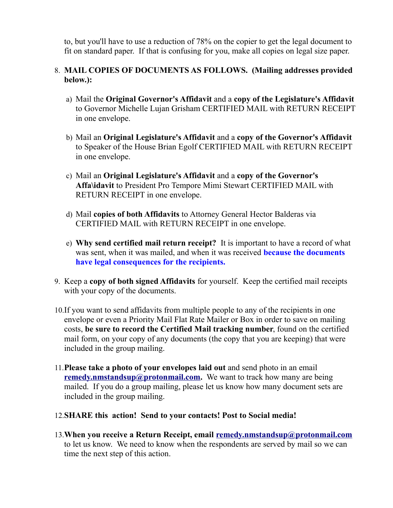to, but you'll have to use a reduction of 78% on the copier to get the legal document to fit on standard paper. If that is confusing for you, make all copies on legal size paper.

## 8. **MAIL COPIES OF DOCUMENTS AS FOLLOWS. (Mailing addresses provided below.):**

- a) Mail the **Original Governor's Affidavit** and a **copy of the Legislature's Affidavit** to Governor Michelle Lujan Grisham CERTIFIED MAIL with RETURN RECEIPT in one envelope.
- b) Mail an **Original Legislature's Affidavit** and a **copy of the Governor's Affidavit** to Speaker of the House Brian Egolf CERTIFIED MAIL with RETURN RECEIPT in one envelope.
- c) Mail an **Original Legislature's Affidavit** and a **copy of the Governor's Affa\idavit** to President Pro Tempore Mimi Stewart CERTIFIED MAIL with RETURN RECEIPT in one envelope.
- d) Mail **copies of both Affidavits** to Attorney General Hector Balderas via CERTIFIED MAIL with RETURN RECEIPT in one envelope.
- e) **Why send certified mail return receipt?** It is important to have a record of what was sent, when it was mailed, and when it was received **because the documents have legal consequences for the recipients.**
- 9. Keep a **copy of both signed Affidavits** for yourself. Keep the certified mail receipts with your copy of the documents.
- 10.If you want to send affidavits from multiple people to any of the recipients in one envelope or even a Priority Mail Flat Rate Mailer or Box in order to save on mailing costs, **be sure to record the Certified Mail tracking number**, found on the certified mail form, on your copy of any documents (the copy that you are keeping) that were included in the group mailing.
- 11.**Please take a photo of your envelopes laid out** and send photo in an email **[remedy.nmstandsup@protonmail.com.](mailto:remedy.nmstandsup@protonmailcom)** We want to track how many are being mailed. If you do a group mailing, please let us know how many document sets are included in the group mailing.
- 12.**SHARE this action! Send to your contacts! Post to Social media!**
- 13.**When you receive a Return Receipt, email [remedy.nmstandsup@protonmail.com](mailto:remedy.nmstandsup@protonmailcom)** to let us know. We need to know when the respondents are served by mail so we can time the next step of this action.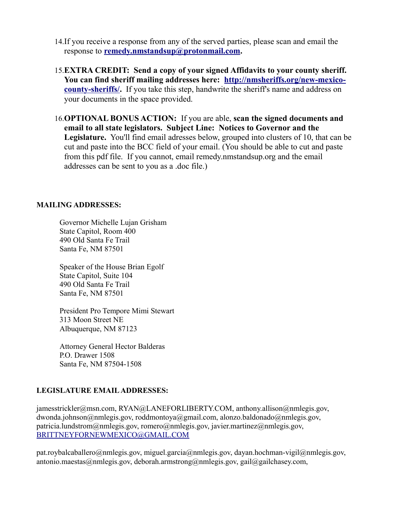- 14.If you receive a response from any of the served parties, please scan and email the response to **[remedy.nmstandsup@protonmail.com.](mailto:remedy.nmstandsup@protonmail.com)**
- 15.**EXTRA CREDIT: Send a copy of your signed Affidavits to your county sheriff. You can find sheriff mailing addresses here: [http://nmsheriffs.org/new-mexico](http://nmsheriffs.org/new-mexico-county-sheriffs/)[county-sheriffs/.](http://nmsheriffs.org/new-mexico-county-sheriffs/)** If you take this step, handwrite the sheriff's name and address on your documents in the space provided.
- 16.**OPTIONAL BONUS ACTION:** If you are able, **scan the signed documents and email to all state legislators. Subject Line: Notices to Governor and the Legislature.** You'll find email adresses below, grouped into clusters of 10, that can be cut and paste into the BCC field of your email. (You should be able to cut and paste from this pdf file. If you cannot, email remedy.nmstandsup.org and the email addresses can be sent to you as a .doc file.)

## **MAILING ADDRESSES:**

Governor Michelle Lujan Grisham State Capitol, Room 400 490 Old Santa Fe Trail Santa Fe, NM 87501

Speaker of the House Brian Egolf State Capitol, Suite 104 490 Old Santa Fe Trail Santa Fe, NM 87501

President Pro Tempore Mimi Stewart 313 Moon Street NE Albuquerque, NM 87123

Attorney General Hector Balderas P.O. Drawer 1508 Santa Fe, NM 87504-1508

## **LEGISLATURE EMAIL ADDRESSES:**

jamesstrickler@msn.com, RYAN@LANEFORLIBERTY.COM, anthony.allison@nmlegis.gov, dwonda.johnson@nmlegis.gov, roddmontoya@gmail.com, alonzo.baldonado@nmlegis.gov, patricia.lundstrom@nmlegis.gov, romero@nmlegis.gov, javier.martinez@nmlegis.gov, [BRITTNEYFORNEWMEXICO@GMAIL.COM](mailto:BRITTNEYFORNEWMEXICO@GMAIL.COM)

pat.roybalcaballero@nmlegis.gov, miguel.garcia@nmlegis.gov, dayan.hochman-vigil@nmlegis.gov, antonio.maestas@nmlegis.gov, deborah.armstrong@nmlegis.gov, gail@gailchasey.com,